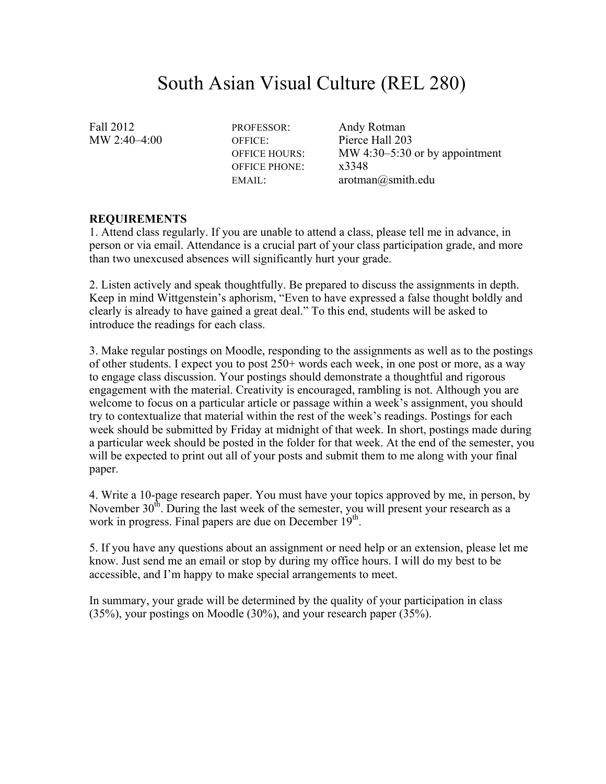# South Asian Visual Culture (REL 280)

Fall 2012 PROFESSOR: Andy Rotman

OFFICE PHONE: x3348

MW 2:40–4:00 OFFICE: Pierce Hall 203 OFFICE HOURS: MW 4:30–5:30 or by appointment EMAIL: arotman@smith.edu

# **REQUIREMENTS**

1. Attend class regularly. If you are unable to attend a class, please tell me in advance, in person or via email. Attendance is a crucial part of your class participation grade, and more than two unexcused absences will significantly hurt your grade.

2. Listen actively and speak thoughtfully. Be prepared to discuss the assignments in depth. Keep in mind Wittgenstein's aphorism, "Even to have expressed a false thought boldly and clearly is already to have gained a great deal." To this end, students will be asked to introduce the readings for each class.

3. Make regular postings on Moodle, responding to the assignments as well as to the postings of other students. I expect you to post 250+ words each week, in one post or more, as a way to engage class discussion. Your postings should demonstrate a thoughtful and rigorous engagement with the material. Creativity is encouraged, rambling is not. Although you are welcome to focus on a particular article or passage within a week's assignment, you should try to contextualize that material within the rest of the week's readings. Postings for each week should be submitted by Friday at midnight of that week. In short, postings made during a particular week should be posted in the folder for that week. At the end of the semester, you will be expected to print out all of your posts and submit them to me along with your final paper.

4. Write a 10-page research paper. You must have your topics approved by me, in person, by November  $30<sup>th</sup>$ . During the last week of the semester, you will present your research as a work in progress. Final papers are due on December  $19<sup>th</sup>$ .

5. If you have any questions about an assignment or need help or an extension, please let me know. Just send me an email or stop by during my office hours. I will do my best to be accessible, and I'm happy to make special arrangements to meet.

In summary, your grade will be determined by the quality of your participation in class (35%), your postings on Moodle (30%), and your research paper (35%).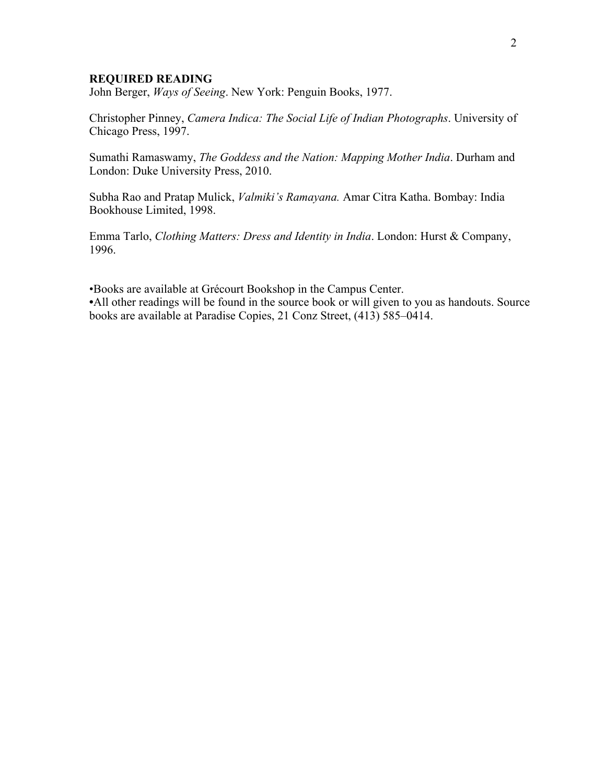# **REQUIRED READING**

John Berger, *Ways of Seeing*. New York: Penguin Books, 1977.

Christopher Pinney, *Camera Indica: The Social Life of Indian Photographs*. University of Chicago Press, 1997.

Sumathi Ramaswamy, *The Goddess and the Nation: Mapping Mother India*. Durham and London: Duke University Press, 2010.

Subha Rao and Pratap Mulick, *Valmiki's Ramayana.* Amar Citra Katha. Bombay: India Bookhouse Limited, 1998.

Emma Tarlo, *Clothing Matters: Dress and Identity in India*. London: Hurst & Company, 1996.

•Books are available at Grécourt Bookshop in the Campus Center.

**•**All other readings will be found in the source book or will given to you as handouts. Source books are available at Paradise Copies, 21 Conz Street, (413) 585–0414.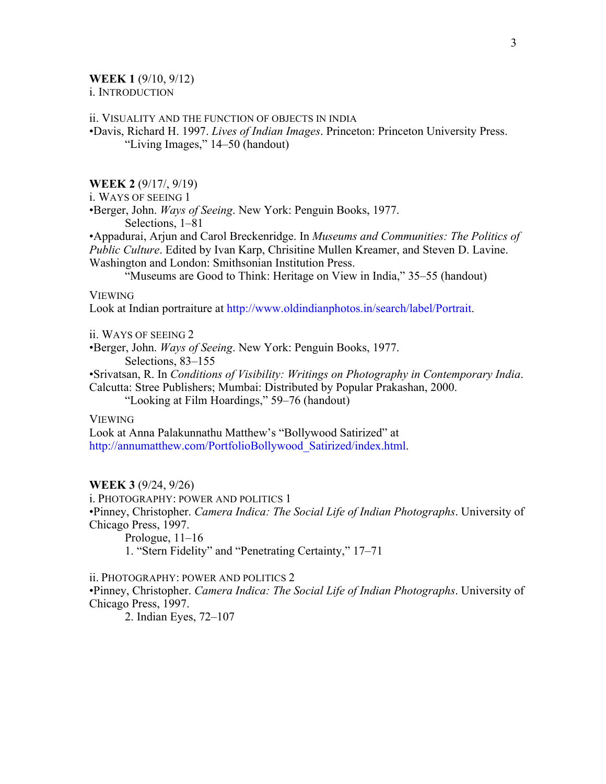# **WEEK 1** (9/10, 9/12)

## i. INTRODUCTION

ii. VISUALITY AND THE FUNCTION OF OBJECTS IN INDIA

•Davis, Richard H. 1997. *Lives of Indian Images*. Princeton: Princeton University Press. "Living Images," 14–50 (handout)

# **WEEK 2** (9/17/, 9/19)

i. WAYS OF SEEING 1

•Berger, John. *Ways of Seeing*. New York: Penguin Books, 1977. Selections, 1–81

•Appadurai, Arjun and Carol Breckenridge. In *Museums and Communities: The Politics of Public Culture*. Edited by Ivan Karp, Chrisitine Mullen Kreamer, and Steven D. Lavine. Washington and London: Smithsonian Institution Press.

"Museums are Good to Think: Heritage on View in India," 35–55 (handout)

## **VIEWING**

Look at Indian portraiture at http://www.oldindianphotos.in/search/label/Portrait.

#### ii. WAYS OF SEEING 2

•Berger, John. *Ways of Seeing*. New York: Penguin Books, 1977.

Selections, 83–155

•Srivatsan, R. In *Conditions of Visibility: Writings on Photography in Contemporary India*. Calcutta: Stree Publishers; Mumbai: Distributed by Popular Prakashan, 2000.

"Looking at Film Hoardings," 59–76 (handout)

## **VIEWING**

Look at Anna Palakunnathu Matthew's "Bollywood Satirized" at http://annumatthew.com/PortfolioBollywood Satirized/index.html.

# **WEEK 3** (9/24, 9/26)

i. PHOTOGRAPHY: POWER AND POLITICS 1

•Pinney, Christopher. *Camera Indica: The Social Life of Indian Photographs*. University of Chicago Press, 1997.

Prologue, 11–16 1. "Stern Fidelity" and "Penetrating Certainty," 17–71

# ii. PHOTOGRAPHY: POWER AND POLITICS 2

•Pinney, Christopher. *Camera Indica: The Social Life of Indian Photographs*. University of Chicago Press, 1997.

2. Indian Eyes, 72–107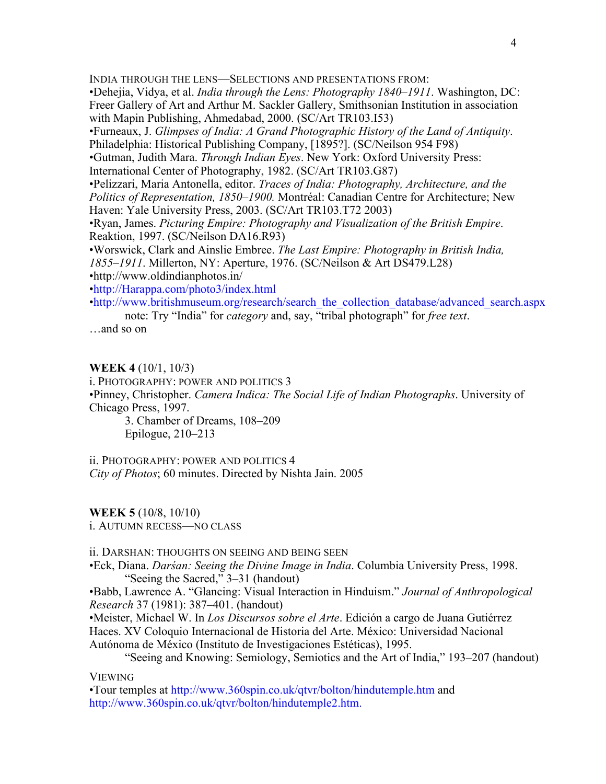INDIA THROUGH THE LENS—SELECTIONS AND PRESENTATIONS FROM: •Dehejia, Vidya, et al. *India through the Lens: Photography 1840–1911*. Washington, DC: Freer Gallery of Art and Arthur M. Sackler Gallery, Smithsonian Institution in association with Mapin Publishing, Ahmedabad, 2000. (SC/Art TR103.I53) •Furneaux, J. *Glimpses of India: A Grand Photographic History of the Land of Antiquity*.

Philadelphia: Historical Publishing Company, [1895?]. (SC/Neilson 954 F98)

•Gutman, Judith Mara. *Through Indian Eyes*. New York: Oxford University Press:

International Center of Photography, 1982. (SC/Art TR103.G87)

•Pelizzari, Maria Antonella, editor. *Traces of India: Photography, Architecture, and the Politics of Representation, 1850–1900.* Montréal: Canadian Centre for Architecture; New Haven: Yale University Press, 2003. (SC/Art TR103.T72 2003)

•Ryan, James. *Picturing Empire: Photography and Visualization of the British Empire*. Reaktion, 1997. (SC/Neilson DA16.R93)

•Worswick, Clark and Ainslie Embree. *The Last Empire: Photography in British India, 1855–1911*. Millerton, NY: Aperture, 1976. (SC/Neilson & Art DS479.L28)

•http://www.oldindianphotos.in/

•http://Harappa.com/photo3/index.html

•http://www.britishmuseum.org/research/search\_the\_collection\_database/advanced\_search.aspx note: Try "India" for *category* and, say, "tribal photograph" for *free text*. …and so on

**WEEK 4** (10/1, 10/3)

i. PHOTOGRAPHY: POWER AND POLITICS 3 •Pinney, Christopher. *Camera Indica: The Social Life of Indian Photographs*. University of Chicago Press, 1997.

3. Chamber of Dreams, 108–209 Epilogue, 210–213

ii. PHOTOGRAPHY: POWER AND POLITICS 4 *City of Photos*; 60 minutes. Directed by Nishta Jain. 2005

**WEEK 5** (10/8, 10/10)

i. AUTUMN RECESS—NO CLASS

ii. DARSHAN: THOUGHTS ON SEEING AND BEING SEEN

•Eck, Diana. *Darśan: Seeing the Divine Image in India*. Columbia University Press, 1998. "Seeing the Sacred," 3–31 (handout)

•Babb, Lawrence A. "Glancing: Visual Interaction in Hinduism." *Journal of Anthropological Research* 37 (1981): 387–401. (handout)

•Meister, Michael W. In *Los Discursos sobre el Arte*. Edición a cargo de Juana Gutiérrez Haces. XV Coloquio Internacional de Historia del Arte. México: Universidad Nacional Autónoma de México (Instituto de Investigaciones Estéticas), 1995.

"Seeing and Knowing: Semiology, Semiotics and the Art of India," 193–207 (handout)

**VIEWING** 

•Tour temples at http://www.360spin.co.uk/qtvr/bolton/hindutemple.htm and http://www.360spin.co.uk/qtvr/bolton/hindutemple2.htm.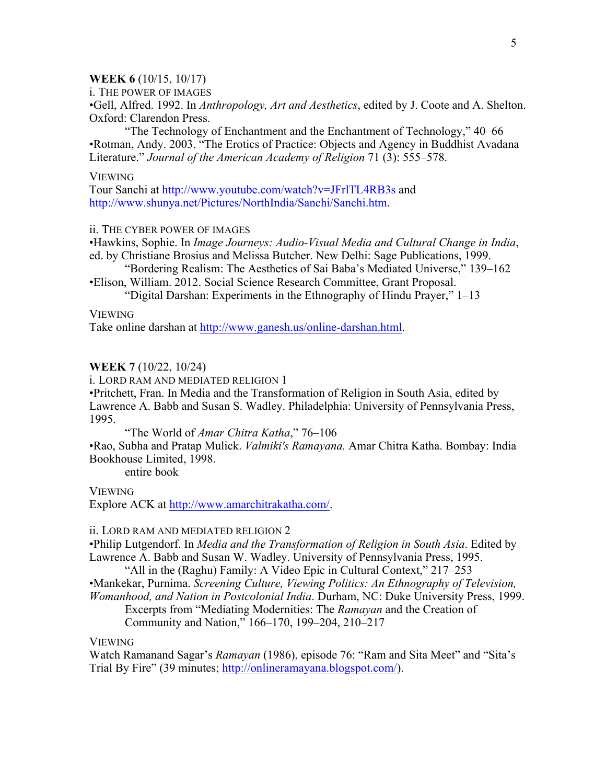# **WEEK 6** (10/15, 10/17)

i. THE POWER OF IMAGES

•Gell, Alfred. 1992. In *Anthropology, Art and Aesthetics*, edited by J. Coote and A. Shelton. Oxford: Clarendon Press.

"The Technology of Enchantment and the Enchantment of Technology," 40–66 •Rotman, Andy. 2003. "The Erotics of Practice: Objects and Agency in Buddhist Avadana Literature." *Journal of the American Academy of Religion* 71 (3): 555–578.

## **VIEWING**

Tour Sanchi at http://www.youtube.com/watch?v=JFrlTL4RB3s and http://www.shunya.net/Pictures/NorthIndia/Sanchi/Sanchi.htm.

# ii. THE CYBER POWER OF IMAGES

•Hawkins, Sophie. In *Image Journeys: Audio-Visual Media and Cultural Change in India*, ed. by Christiane Brosius and Melissa Butcher. New Delhi: Sage Publications, 1999.

"Bordering Realism: The Aesthetics of Sai Baba's Mediated Universe," 139–162 •Elison, William. 2012. Social Science Research Committee, Grant Proposal.

"Digital Darshan: Experiments in the Ethnography of Hindu Prayer,"  $1-13$ 

#### **VIEWING**

Take online darshan at http://www.ganesh.us/online-darshan.html.

# **WEEK 7** (10/22, 10/24)

i. LORD RAM AND MEDIATED RELIGION 1

•Pritchett, Fran. In Media and the Transformation of Religion in South Asia, edited by Lawrence A. Babb and Susan S. Wadley. Philadelphia: University of Pennsylvania Press, 1995.

"The World of *Amar Chitra Katha*," 76–106

•Rao, Subha and Pratap Mulick. *Valmiki's Ramayana.* Amar Chitra Katha. Bombay: India Bookhouse Limited, 1998.

entire book

**VIEWING** 

Explore ACK at http://www.amarchitrakatha.com/.

## ii. LORD RAM AND MEDIATED RELIGION 2

•Philip Lutgendorf. In *Media and the Transformation of Religion in South Asia*. Edited by Lawrence A. Babb and Susan W. Wadley. University of Pennsylvania Press, 1995.

"All in the (Raghu) Family: A Video Epic in Cultural Context," 217–253

•Mankekar, Purnima. *Screening Culture, Viewing Politics: An Ethnography of Television,* 

*Womanhood, and Nation in Postcolonial India*. Durham, NC: Duke University Press, 1999.

Excerpts from "Mediating Modernities: The *Ramayan* and the Creation of Community and Nation," 166–170, 199–204, 210–217

# **VIEWING**

Watch Ramanand Sagar's *Ramayan* (1986), episode 76: "Ram and Sita Meet" and "Sita's Trial By Fire" (39 minutes; http://onlineramayana.blogspot.com/).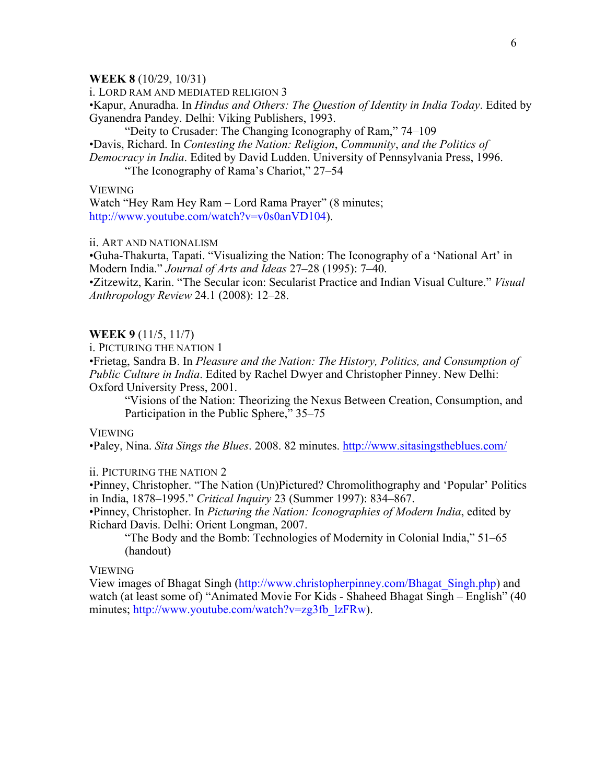## **WEEK 8** (10/29, 10/31)

i. LORD RAM AND MEDIATED RELIGION 3

•Kapur, Anuradha. In *Hindus and Others: The Question of Identity in India Today*. Edited by Gyanendra Pandey. Delhi: Viking Publishers, 1993.

"Deity to Crusader: The Changing Iconography of Ram," 74–109 •Davis, Richard. In *Contesting the Nation: Religion*, *Community*, *and the Politics of Democracy in India*. Edited by David Ludden. University of Pennsylvania Press, 1996.

"The Iconography of Rama's Chariot," 27–54

## **VIEWING**

Watch "Hey Ram Hey Ram – Lord Rama Prayer" (8 minutes; http://www.youtube.com/watch?v=v0s0anVD104).

#### ii. ART AND NATIONALISM

•Guha-Thakurta, Tapati. "Visualizing the Nation: The Iconography of a 'National Art' in Modern India." *Journal of Arts and Ideas* 27–28 (1995): 7–40.

•Zitzewitz, Karin. "The Secular icon: Secularist Practice and Indian Visual Culture." *Visual Anthropology Review* 24.1 (2008): 12–28.

## **WEEK 9** (11/5, 11/7)

i. PICTURING THE NATION 1

•Frietag, Sandra B. In *Pleasure and the Nation: The History, Politics, and Consumption of Public Culture in India*. Edited by Rachel Dwyer and Christopher Pinney. New Delhi: Oxford University Press, 2001.

"Visions of the Nation: Theorizing the Nexus Between Creation, Consumption, and Participation in the Public Sphere," 35–75

## **VIEWING**

•Paley, Nina. *Sita Sings the Blues*. 2008. 82 minutes. http://www.sitasingstheblues.com/

ii. PICTURING THE NATION 2

•Pinney, Christopher. "The Nation (Un)Pictured? Chromolithography and 'Popular' Politics in India, 1878–1995." *Critical Inquiry* 23 (Summer 1997): 834–867.

•Pinney, Christopher. In *Picturing the Nation: Iconographies of Modern India*, edited by Richard Davis. Delhi: Orient Longman, 2007.

"The Body and the Bomb: Technologies of Modernity in Colonial India," 51–65 (handout)

## **VIEWING**

View images of Bhagat Singh (http://www.christopherpinney.com/Bhagat\_Singh.php) and watch (at least some of) "Animated Movie For Kids - Shaheed Bhagat Singh – English" (40 minutes; http://www.youtube.com/watch?v=zg3fb\_lzFRw).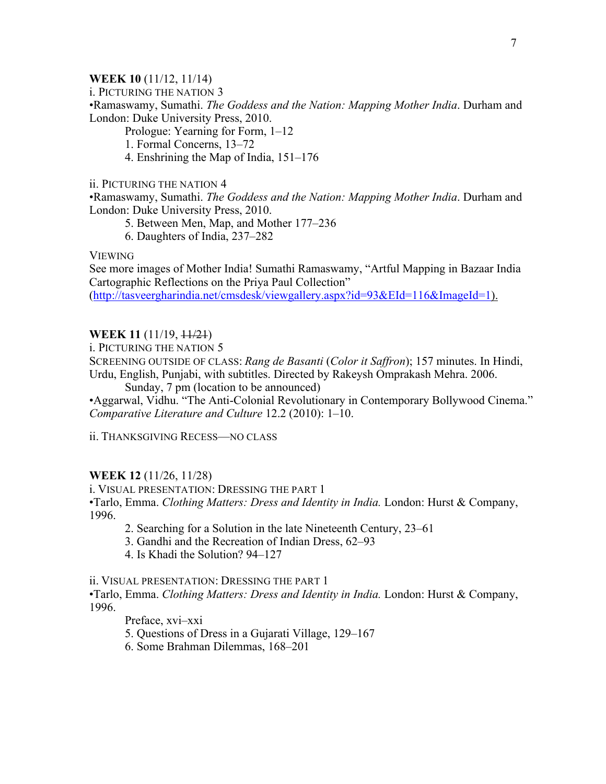# **WEEK 10** (11/12, 11/14)

i. PICTURING THE NATION 3

•Ramaswamy, Sumathi. *The Goddess and the Nation: Mapping Mother India*. Durham and London: Duke University Press, 2010.

Prologue: Yearning for Form, 1–12

- 1. Formal Concerns, 13–72
- 4. Enshrining the Map of India, 151–176

ii. PICTURING THE NATION 4

•Ramaswamy, Sumathi. *The Goddess and the Nation: Mapping Mother India*. Durham and London: Duke University Press, 2010.

- 5. Between Men, Map, and Mother 177–236
- 6. Daughters of India, 237–282

# **VIEWING**

See more images of Mother India! Sumathi Ramaswamy, "Artful Mapping in Bazaar India Cartographic Reflections on the Priya Paul Collection"

(http://tasveergharindia.net/cmsdesk/viewgallery.aspx?id=93&EId=116&ImageId=1).

# **WEEK 11** (11/19, 11/21)

i. PICTURING THE NATION 5

SCREENING OUTSIDE OF CLASS: *Rang de Basanti* (*Color it Saffron*); 157 minutes. In Hindi, Urdu, English, Punjabi, with subtitles. Directed by Rakeysh Omprakash Mehra. 2006.

Sunday, 7 pm (location to be announced)

•Aggarwal, Vidhu. "The Anti-Colonial Revolutionary in Contemporary Bollywood Cinema." *Comparative Literature and Culture* 12.2 (2010): 1–10.

ii. THANKSGIVING RECESS—NO CLASS

# **WEEK 12** (11/26, 11/28)

i. VISUAL PRESENTATION: DRESSING THE PART 1

•Tarlo, Emma. *Clothing Matters: Dress and Identity in India.* London: Hurst & Company, 1996.

- 2. Searching for a Solution in the late Nineteenth Century, 23–61
- 3. Gandhi and the Recreation of Indian Dress, 62–93
- 4. Is Khadi the Solution? 94–127

ii. VISUAL PRESENTATION: DRESSING THE PART 1

•Tarlo, Emma. *Clothing Matters: Dress and Identity in India.* London: Hurst & Company, 1996.

Preface, xvi–xxi

- 5. Questions of Dress in a Gujarati Village, 129–167
- 6. Some Brahman Dilemmas, 168–201